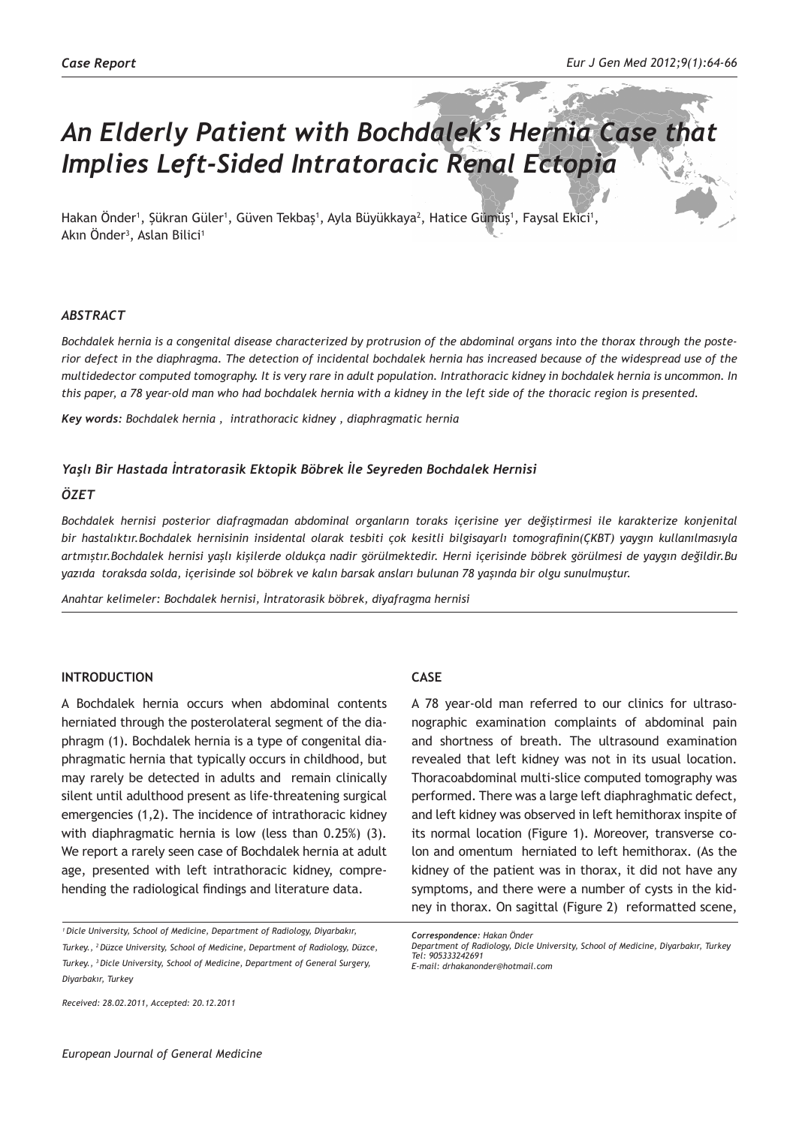# *An Elderly Patient with Bochdalek's Hernia Case that Implies Left-Sided Intratoracic Renal Ectopia*

Hakan Onder', Şükran Güler', Güven Tekbaş', Ayla Büyükkaya<sup>2</sup>, Hatice Gümüş', Faysal Ekici', Akın Onder<sup>3</sup>, Aslan Bilici<sup>1</sup>

### *ABSTRACT*

*Bochdalek hernia is a congenital disease characterized by protrusion of the abdominal organs into the thorax through the posterior defect in the diaphragma. The detection of incidental bochdalek hernia has increased because of the widespread use of the multidedector computed tomography. It is very rare in adult population. Intrathoracic kidney in bochdalek hernia is uncommon. In this paper, a 78 year-old man who had bochdalek hernia with a kidney in the left side of the thoracic region is presented.*

*Key words: Bochdalek hernia , intrathoracic kidney , diaphragmatic hernia*

#### *Yaşlı Bir Hastada İntratorasik Ektopik Böbrek İle Seyreden Bochdalek Hernisi*

#### *ÖZET*

*Bochdalek hernisi posterior diafragmadan abdominal organların toraks içerisine yer değiştirmesi ile karakterize konjenital bir hastalıktır.Bochdalek hernisinin insidental olarak tesbiti çok kesitli bilgisayarlı tomografinin(ÇKBT) yaygın kullanılmasıyla artmıştır.Bochdalek hernisi yaşlı kişilerde oldukça nadir görülmektedir. Herni içerisinde böbrek görülmesi de yaygın değildir.Bu yazıda toraksda solda, içerisinde sol böbrek ve kalın barsak ansları bulunan 78 yaşında bir olgu sunulmuştur.*

*Anahtar kelimeler: Bochdalek hernisi, İntratorasik böbrek, diyafragma hernisi*

### **INTRODUCTION**

A Bochdalek hernia occurs when abdominal contents herniated through the posterolateral segment of the diaphragm (1). Bochdalek hernia is a type of congenital diaphragmatic hernia that typically occurs in childhood, but may rarely be detected in adults and remain clinically silent until adulthood present as life-threatening surgical emergencies (1,2). The incidence of intrathoracic kidney with diaphragmatic hernia is low (less than 0.25%) (3). We report a rarely seen case of Bochdalek hernia at adult age, presented with left intrathoracic kidney, comprehending the radiological findings and literature data.

*Received: 28.02.2011, Accepted: 20.12.2011*

# **CASE**

A 78 year-old man referred to our clinics for ultrasonographic examination complaints of abdominal pain and shortness of breath. The ultrasound examination revealed that left kidney was not in its usual location. Thoracoabdominal multi-slice computed tomography was performed. There was a large left diaphraghmatic defect, and left kidney was observed in left hemithorax inspite of its normal location (Figure 1). Moreover, transverse colon and omentum herniated to left hemithorax. (As the kidney of the patient was in thorax, it did not have any symptoms, and there were a number of cysts in the kidney in thorax. On sagittal (Figure 2) reformatted scene,

*<sup>1</sup>Dicle University, School of Medicine, Department of Radiology, Diyarbakır, Turkey., 2 Düzce University, School of Medicine, Department of Radiology, Düzce, Turkey., 3 Dicle University, School of Medicine, Department of General Surgery, Diyarbakır, Turkey*

*Correspondence: Hakan Önder*

*Department of Radiology, Dicle University, School of Medicine, Diyarbakır, Turkey Tel: 905333242691 E-mail: drhakanonder@hotmail.com*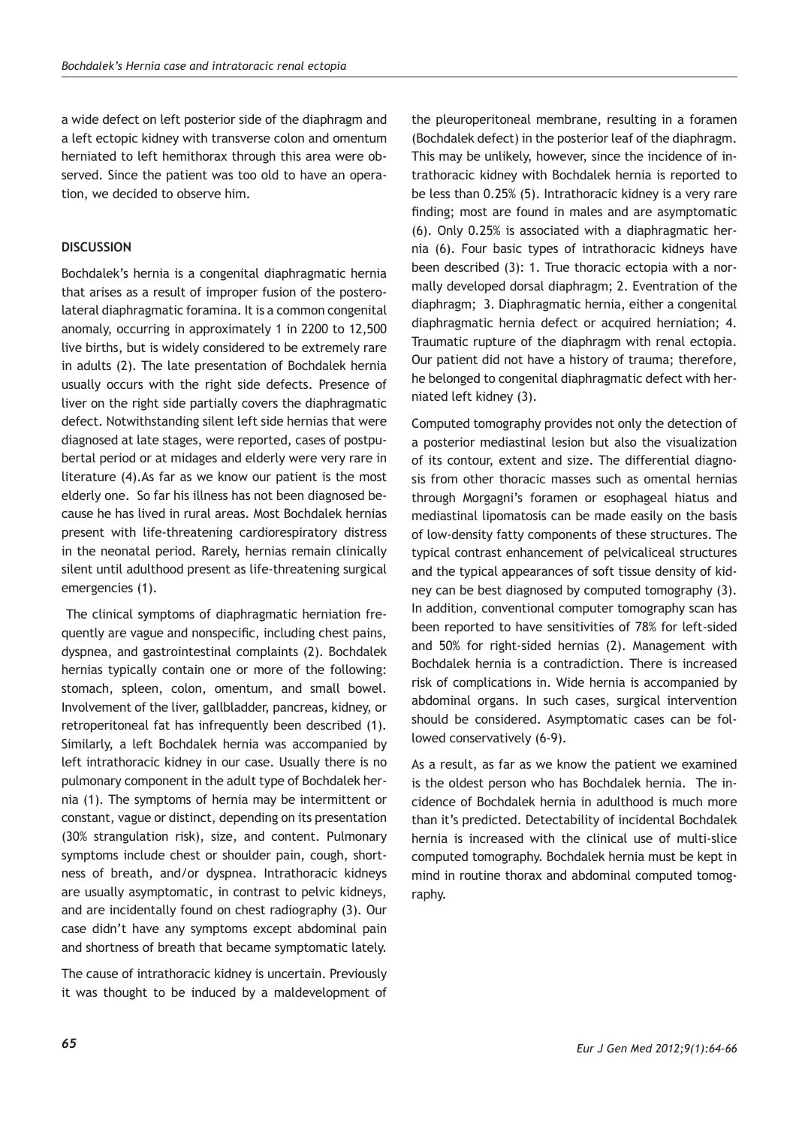a wide defect on left posterior side of the diaphragm and a left ectopic kidney with transverse colon and omentum herniated to left hemithorax through this area were observed. Since the patient was too old to have an operation, we decided to observe him.

## **DISCUSSION**

Bochdalek's hernia is a congenital diaphragmatic hernia that arises as a result of improper fusion of the posterolateral diaphragmatic foramina. It is a common congenital anomaly, occurring in approximately 1 in 2200 to 12,500 live births, but is widely considered to be extremely rare in adults (2). The late presentation of Bochdalek hernia usually occurs with the right side defects. Presence of liver on the right side partially covers the diaphragmatic defect. Notwithstanding silent left side hernias that were diagnosed at late stages, were reported, cases of postpubertal period or at midages and elderly were very rare in literature (4).As far as we know our patient is the most elderly one. So far his illness has not been diagnosed because he has lived in rural areas. Most Bochdalek hernias present with life-threatening cardiorespiratory distress in the neonatal period. Rarely, hernias remain clinically silent until adulthood present as life-threatening surgical emergencies (1).

 The clinical symptoms of diaphragmatic herniation frequently are vague and nonspecific, including chest pains, dyspnea, and gastrointestinal complaints (2). Bochdalek hernias typically contain one or more of the following: stomach, spleen, colon, omentum, and small bowel. Involvement of the liver, gallbladder, pancreas, kidney, or retroperitoneal fat has infrequently been described (1). Similarly, a left Bochdalek hernia was accompanied by left intrathoracic kidney in our case. Usually there is no pulmonary component in the adult type of Bochdalek hernia (1). The symptoms of hernia may be intermittent or constant, vague or distinct, depending on its presentation (30% strangulation risk), size, and content. Pulmonary symptoms include chest or shoulder pain, cough, shortness of breath, and/or dyspnea. Intrathoracic kidneys are usually asymptomatic, in contrast to pelvic kidneys, and are incidentally found on chest radiography (3). Our case didn't have any symptoms except abdominal pain and shortness of breath that became symptomatic lately.

The cause of intrathoracic kidney is uncertain. Previously it was thought to be induced by a maldevelopment of

the pleuroperitoneal membrane, resulting in a foramen (Bochdalek defect) in the posterior leaf of the diaphragm. This may be unlikely, however, since the incidence of intrathoracic kidney with Bochdalek hernia is reported to be less than 0.25% (5). Intrathoracic kidney is a very rare finding; most are found in males and are asymptomatic (6). Only 0.25% is associated with a diaphragmatic hernia (6). Four basic types of intrathoracic kidneys have been described (3): 1. True thoracic ectopia with a normally developed dorsal diaphragm; 2. Eventration of the diaphragm; 3. Diaphragmatic hernia, either a congenital diaphragmatic hernia defect or acquired herniation; 4. Traumatic rupture of the diaphragm with renal ectopia. Our patient did not have a history of trauma; therefore, he belonged to congenital diaphragmatic defect with herniated left kidney (3).

Computed tomography provides not only the detection of a posterior mediastinal lesion but also the visualization of its contour, extent and size. The differential diagnosis from other thoracic masses such as omental hernias through Morgagni's foramen or esophageal hiatus and mediastinal lipomatosis can be made easily on the basis of low-density fatty components of these structures. The typical contrast enhancement of pelvicaliceal structures and the typical appearances of soft tissue density of kidney can be best diagnosed by computed tomography (3). In addition, conventional computer tomography scan has been reported to have sensitivities of 78% for left-sided and 50% for right-sided hernias (2). Management with Bochdalek hernia is a contradiction. There is increased risk of complications in. Wide hernia is accompanied by abdominal organs. In such cases, surgical intervention should be considered. Asymptomatic cases can be followed conservatively (6-9).

As a result, as far as we know the patient we examined is the oldest person who has Bochdalek hernia. The incidence of Bochdalek hernia in adulthood is much more than it's predicted. Detectability of incidental Bochdalek hernia is increased with the clinical use of multi-slice computed tomography. Bochdalek hernia must be kept in mind in routine thorax and abdominal computed tomography.